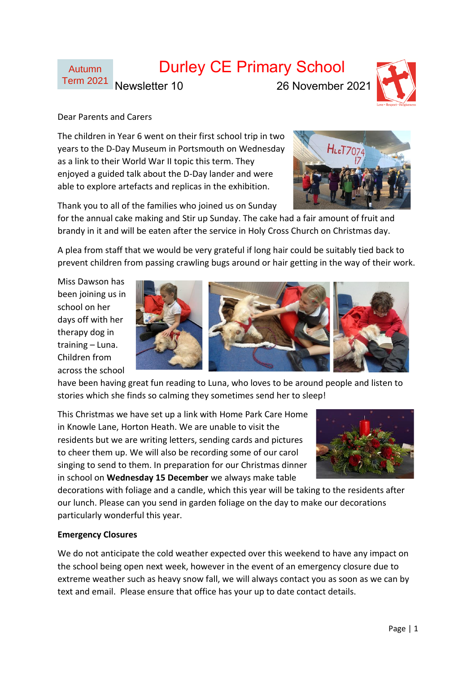

#### Dear Parents and Carers

The children in Year 6 went on their first school trip in two years to the D-Day Museum in Portsmouth on Wednesday as a link to their World War II topic this term. They enjoyed a guided talk about the D-Day lander and were able to explore artefacts and replicas in the exhibition.

Thank you to all of the families who joined us on Sunday



for the annual cake making and Stir up Sunday. The cake had a fair amount of fruit and brandy in it and will be eaten after the service in Holy Cross Church on Christmas day.

A plea from staff that we would be very grateful if long hair could be suitably tied back to prevent children from passing crawling bugs around or hair getting in the way of their work.

Miss Dawson has been joining us in school on her days off with her therapy dog in training – Luna. Children from across the school



have been having great fun reading to Luna, who loves to be around people and listen to stories which she finds so calming they sometimes send her to sleep!

This Christmas we have set up a link with Home Park Care Home in Knowle Lane, Horton Heath. We are unable to visit the residents but we are writing letters, sending cards and pictures to cheer them up. We will also be recording some of our carol singing to send to them. In preparation for our Christmas dinner in school on **Wednesday 15 December** we always make table



decorations with foliage and a candle, which this year will be taking to the residents after our lunch. Please can you send in garden foliage on the day to make our decorations particularly wonderful this year.

#### **Emergency Closures**

We do not anticipate the cold weather expected over this weekend to have any impact on the school being open next week, however in the event of an emergency closure due to extreme weather such as heavy snow fall, we will always contact you as soon as we can by text and email. Please ensure that office has your up to date contact details.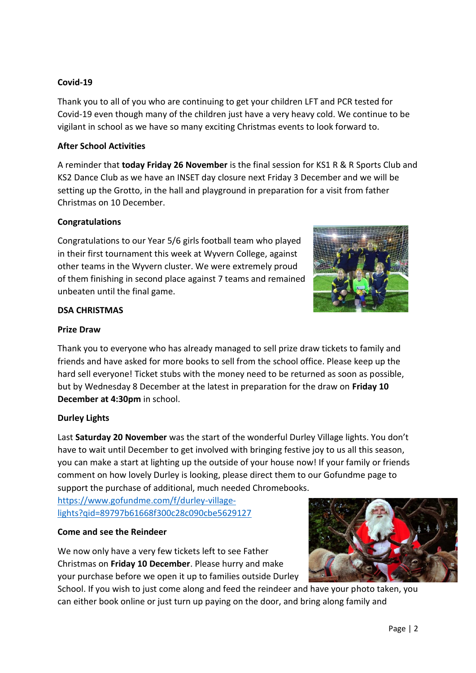## **Covid-19**

Thank you to all of you who are continuing to get your children LFT and PCR tested for Covid-19 even though many of the children just have a very heavy cold. We continue to be vigilant in school as we have so many exciting Christmas events to look forward to.

## **After School Activities**

A reminder that **today Friday 26 November** is the final session for KS1 R & R Sports Club and KS2 Dance Club as we have an INSET day closure next Friday 3 December and we will be setting up the Grotto, in the hall and playground in preparation for a visit from father Christmas on 10 December.

#### **Congratulations**

Congratulations to our Year 5/6 girls football team who played in their first tournament this week at Wyvern College, against other teams in the Wyvern cluster. We were extremely proud of them finishing in second place against 7 teams and remained unbeaten until the final game.



#### **DSA CHRISTMAS**

#### **Prize Draw**

Thank you to everyone who has already managed to sell prize draw tickets to family and friends and have asked for more books to sell from the school office. Please keep up the hard sell everyone! Ticket stubs with the money need to be returned as soon as possible, but by Wednesday 8 December at the latest in preparation for the draw on **Friday 10 December at 4:30pm** in school.

## **Durley Lights**

Last **Saturday 20 November** was the start of the wonderful Durley Village lights. You don't have to wait until December to get involved with bringing festive joy to us all this season, you can make a start at lighting up the outside of your house now! If your family or friends comment on how lovely Durley is looking, please direct them to our Gofundme page to support the purchase of additional, much needed Chromebooks.

[https://www.gofundme.com/f/durley-village](https://www.gofundme.com/f/durley-village-lights?qid=89797b61668f300c28c090cbe5629127)[lights?qid=89797b61668f300c28c090cbe5629127](https://www.gofundme.com/f/durley-village-lights?qid=89797b61668f300c28c090cbe5629127)

## **Come and see the Reindeer**

We now only have a very few tickets left to see Father Christmas on **Friday 10 December**. Please hurry and make your purchase before we open it up to families outside Durley

School. If you wish to just come along and feed the reindeer and have your photo taken, you can either book online or just turn up paying on the door, and bring along family and